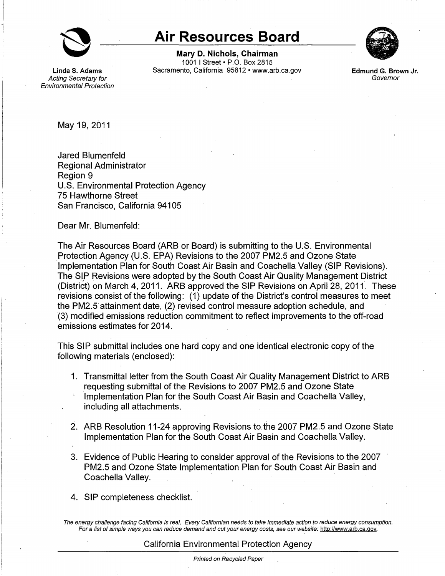

**Linda S. Adams**  Acting Secretary for Environmental Protection

## **Air Resources Board**

**Mary D. Nichols, Chairman**  1001 I Street• P.O. Box 2815 Sacramento, California 95812 • <www.arb.ca.gov>



**Edmund G. Brown Jr.**  Governor

May 19, 2011

Jared Blumenfeld Regional Administrator Region 9 U.S. Environmental Protection Agency 75 Hawthorne Street San Francisco, California 94105

Dear Mr. Blumenfeld:

The Air Resources Board (ARB or Board) is submitting to the U.S. Environmental Protection Agency (U.S. EPA) Revisions to the 2007 PM2.5 and Ozone State Implementation Plan for South Coast Air Basin and Coachella Valley (SIP Revisions). The SIP Revisions were adopted by the South Coast Air Quality Management District (District) on March 4, 2011. ARB approved the SIP Revisions on April 28, 2011. These revisions consist of the following: (1) update of the District's control measures to meet the PM2.5 attainment date, (2) revised control measure adoption schedule, and (3) modified emissions reduction commitment to reflect improvements to the off-road emissions estimates for 2014.

This SIP submittal includes one hard copy and one identical electronic copy of the following materials (enclosed):

- 1. Transmittal letter from the South Coast Air Quality Management District to ARB requesting submittal of the Revisions to 2007 PM2.5 and Ozone State Implementation Plan for the South Coast Air Basin and Coachella Valley, including all attachments.
- 2. ARB Resolution 11-24 approving Revisions to the 2007 PM2.5 and Ozone State Implementation Plan for the South Coast Air Basin and Coachella Valley.
- 3. Evidence of Public Hearing to consider approval of the Revisions to the 2007 PM2.5 and Ozone State Implementation Plan for South Coast Air Basin and Coachella Valley.
- 4. SIP completeness checklist.

The energy challenge facing California is real. Every Californian needs to take immediate action to reduce energy consumption. For a list of simple ways you can reduce demand and cut your energy costs, see our website: http://www.arb.ca.gov.

## California Environmental Protection Agency